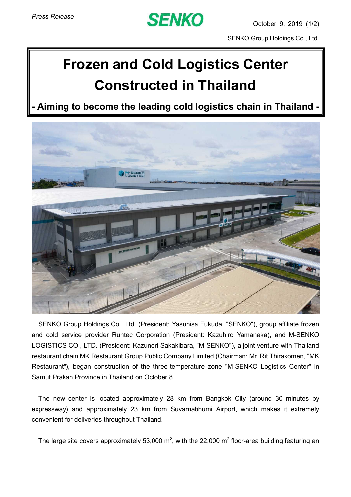

SENKO Group Holdings Co., Ltd.

## **Frozen and Cold Logistics Center Constructed in Thailand**

**- Aiming to become the leading cold logistics chain in Thailand -**



SENKO Group Holdings Co., Ltd. (President: Yasuhisa Fukuda, "SENKO"), group affiliate frozen and cold service provider Runtec Corporation (President: Kazuhiro Yamanaka), and M-SENKO LOGISTICS CO., LTD. (President: Kazunori Sakakibara, "M-SENKO"), a joint venture with Thailand restaurant chain MK Restaurant Group Public Company Limited (Chairman: Mr. Rit Thirakomen, "MK Restaurant"), began construction of the three-temperature zone "M-SENKO Logistics Center" in Samut Prakan Province in Thailand on October 8.

The new center is located approximately 28 km from Bangkok City (around 30 minutes by expressway) and approximately 23 km from Suvarnabhumi Airport, which makes it extremely convenient for deliveries throughout Thailand.

The large site covers approximately 53,000 m<sup>2</sup>, with the 22,000 m<sup>2</sup> floor-area building featuring an